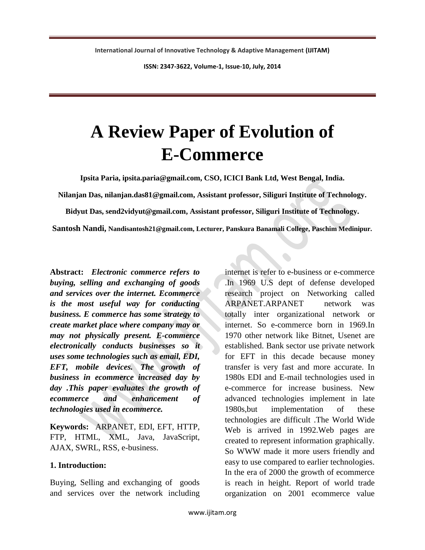**ISSN: 2347-3622, Volume-1, Issue-10, July, 2014**

# **A Review Paper of Evolution of E-Commerce**

**Ipsita Paria, ipsita.paria@gmail.com, CSO, ICICI Bank Ltd, West Bengal, India.**

**Nilanjan Das, [nilanjan.das81@gmail.com,](mailto:nilanjan.das81@gmail.com) Assistant professor, Siliguri Institute of Technology.**

**Bidyut Das, [send2vidyut@gmail.com,](mailto:send2vidyut@gmail.com) Assistant professor, Siliguri Institute of Technology.**

**Santosh Nandi, [Nandisantosh21@gmail.com,](mailto:Nandisantosh21@gmail.com) Lecturer, Panskura Banamali College, Paschim Medinipur.**

**Abstract:** *Electronic commerce refers to buying, selling and exchanging of goods and services over the internet. Ecommerce is the most useful way for conducting business. E commerce has some strategy to create market place where company may or may not physically present. E-commerce electronically conducts businesses so it uses some technologies such as email, EDI, EFT, mobile devices. The growth of business in ecommerce increased day by day .This paper evaluates the growth of ecommerce and enhancement of technologies used in ecommerce.*

**Keywords:** ARPANET, EDI, EFT, HTTP, FTP, HTML, XML, Java, JavaScript, AJAX, SWRL, RSS, e-business.

#### **1. Introduction:**

Buying, Selling and exchanging of goods and services over the network including

internet is refer to e-business or e-commerce .In 1969 U.S dept of defense developed research project on Networking called ARPANET.ARPANET network was totally inter organizational network or internet. So e-commerce born in 1969.In 1970 other network like Bitnet, Usenet are established. Bank sector use private network for EFT in this decade because money transfer is very fast and more accurate. In 1980s EDI and E-mail technologies used in e-commerce for increase business. New advanced technologies implement in late 1980s,but implementation of these technologies are difficult .The World Wide Web is arrived in 1992.Web pages are created to represent information graphically. So WWW made it more users friendly and easy to use compared to earlier technologies. In the era of 2000 the growth of ecommerce is reach in height. Report of world trade organization on 2001 ecommerce value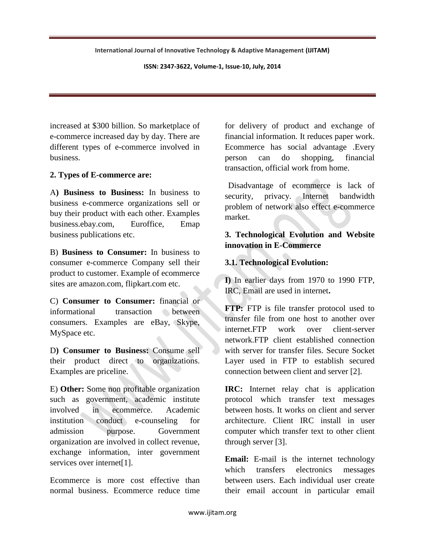**ISSN: 2347-3622, Volume-1, Issue-10, July, 2014**

increased at \$300 billion. So marketplace of e-commerce increased day by day. There are different types of e-commerce involved in business.

#### **2. Types of E-commerce are:**

A**) Business to Business:** In business to business e-commerce organizations sell or buy their product with each other. Examples business.ebay.com, Euroffice, Emap business publications etc.

B) **Business to Consumer:** In business to consumer e-commerce Company sell their product to customer. Example of ecommerce sites are amazon.com, flipkart.com etc.

C) **Consumer to Consumer:** financial or informational transaction between consumers. Examples are eBay, Skype, MySpace etc.

D**) Consumer to Business:** Consume sell their product direct to organizations. Examples are priceline.

E) **Other:** Some non profitable organization such as government, academic institute involved in ecommerce. Academic institution conduct e-counseling for admission purpose. Government organization are involved in collect revenue, exchange information, inter government services over internet<sup>[1]</sup>.

Ecommerce is more cost effective than normal business. Ecommerce reduce time for delivery of product and exchange of financial information. It reduces paper work. Ecommerce has social advantage .Every person can do shopping, financial transaction, official work from home.

Disadvantage of ecommerce is lack of security, privacy. Internet bandwidth problem of network also effect e-commerce market.

# **3. Technological Evolution and Website innovation in E-Commerce**

## **3.1. Technological Evolution:**

**I)** In earlier days from 1970 to 1990 FTP, IRC, Email are used in internet**.**

**FTP:** FTP is file transfer protocol used to transfer file from one host to another over internet.FTP work over client-server network.FTP client established connection with server for transfer files. Secure Socket Layer used in FTP to establish secured connection between client and server [2].

**IRC:** Internet relay chat is application protocol which transfer text messages between hosts. It works on client and server architecture. Client IRC install in user computer which transfer text to other client through server [3].

**Email:** E-mail is the internet technology which transfers electronics messages between users. Each individual user create their email account in particular email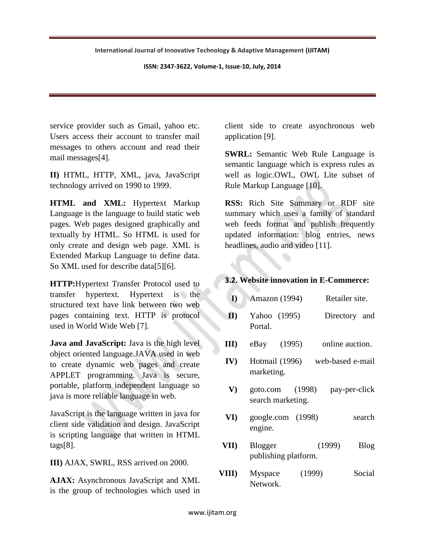**ISSN: 2347-3622, Volume-1, Issue-10, July, 2014**

service provider such as Gmail, yahoo etc. Users access their account to transfer mail messages to others account and read their mail messages[4].

**II)** HTML, HTTP, XML, java, JavaScript technology arrived on 1990 to 1999.

**HTML and XML:** Hypertext Markup Language is the language to build static web pages. Web pages designed graphically and textually by HTML. So HTML is used for only create and design web page. XML is Extended Markup Language to define data. So XML used for describe data[5][6].

**HTTP:**Hypertext Transfer Protocol used to transfer hypertext. Hypertext is the structured text have link between two web pages containing text. HTTP is protocol used in World Wide Web [7].

**Java and JavaScript:** Java is the high level object oriented language.JAVA used in web to create dynamic web pages and create APPLET programming. Java is secure, portable, platform independent language so java is more reliable language in web.

JavaScript is the language written in java for client side validation and design. JavaScript is scripting language that written in HTML tags[8].

**III)** AJAX, SWRL, RSS arrived on 2000.

**AJAX:** Asynchronous JavaScript and XML is the group of technologies which used in client side to create asynchronous web application [9].

**SWRL:** Semantic Web Rule Language is semantic language which is express rules as well as logic.OWL, OWL Lite subset of Rule Markup Language [10].

**RSS:** Rich Site Summary or RDF site summary which uses a family of standard web feeds format and publish frequently updated information: blog entries, news headlines, audio and video [11].

## **3.2. Website innovation in E-Commerce:**

| $\bf{I}$ | Amazon (1994) | Retailer site. |
|----------|---------------|----------------|
|----------|---------------|----------------|

- **II)** Yahoo (1995) Directory and Portal.
- **III**) eBay (1995) online auction.
- **IV)** Hotmail (1996) web-based e-mail marketing.
- **V)** goto.com (1998) pay-per-click search marketing.
- **VI)** google.com (1998) search engine.
- **VII)** Blogger (1999) Blog publishing platform.
- **VIII)** Myspace (1999) Social Network.